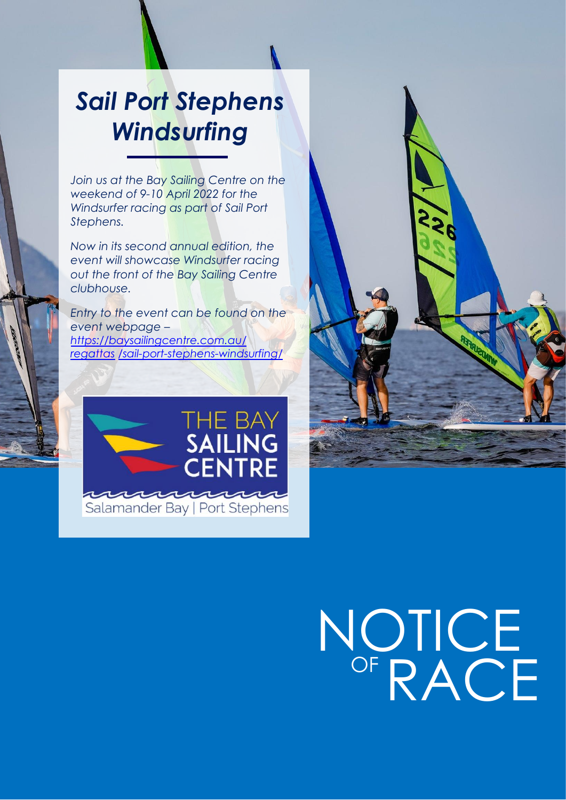# *Sail Port Stephens Windsurfing*

*Join us at the Bay Sailing Centre on the weekend of 9-10 April 2022 for the Windsurfer racing as part of Sail Port Stephens.* 

*Now in its second annual edition, the event will showcase Windsurfer racing out the front of the Bay Sailing Centre clubhouse.* 

*Entry to the event can be found on the event webpage – https://baysailingcentre.com.au/ regattas /sail-port-stephens-windsurfing/*





# NOTICE OF RACE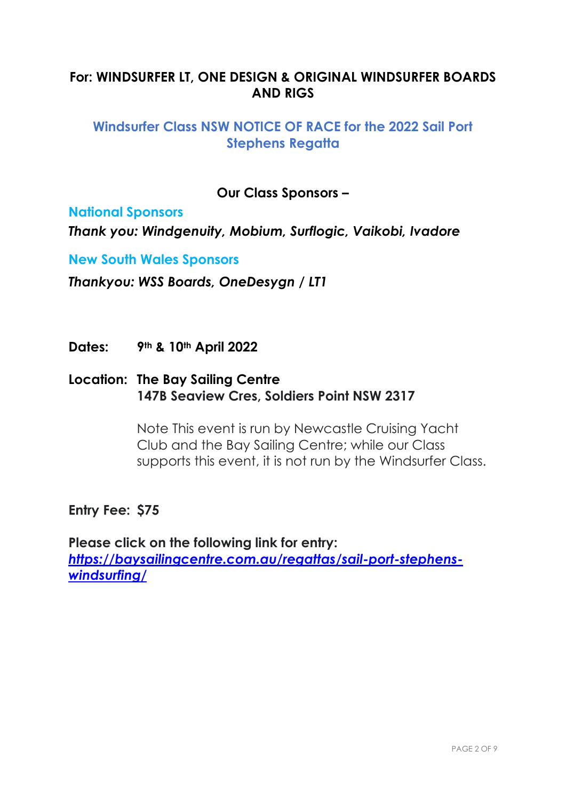# **For: WINDSURFER LT, ONE DESIGN & ORIGINAL WINDSURFER BOARDS AND RIGS**

## **Windsurfer Class NSW NOTICE OF RACE for the 2022 Sail Port Stephens Regatta**

**Our Class Sponsors –**

**National Sponsors** 

*Thank you: Windgenuity, Mobium, Surflogic, Vaikobi, Ivadore* 

**New South Wales Sponsors** 

*Thankyou: WSS Boards, OneDesygn / LT1* 

**Dates: 9th & 10th April 2022**

### **Location: The Bay Sailing Centre 147B Seaview Cres, Soldiers Point NSW 2317**

Note This event is run by Newcastle Cruising Yacht Club and the Bay Sailing Centre; while our Class supports this event, it is not run by the Windsurfer Class.

**Entry Fee: \$75**

**Please click on the following link for entry:** *https://baysailingcentre.com.au/regattas/sail-port-stephenswindsurfing/*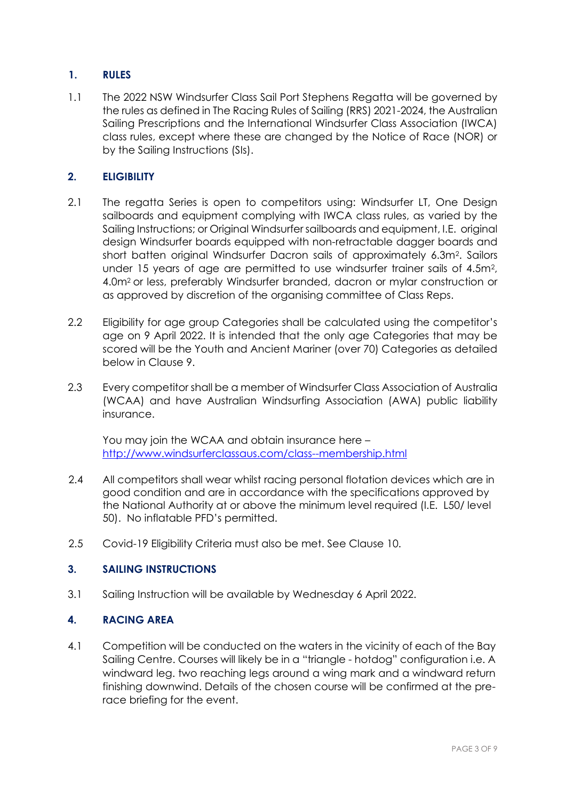#### **1. RULES**

1.1 The 2022 NSW Windsurfer Class Sail Port Stephens Regatta will be governed by the rules as defined in The Racing Rules of Sailing (RRS) 2021-2024, the Australian Sailing Prescriptions and the International Windsurfer Class Association (IWCA) class rules, except where these are changed by the Notice of Race (NOR) or by the Sailing Instructions (SIs).

#### **2. ELIGIBILITY**

- 2.1 The regatta Series is open to competitors using: Windsurfer LT, One Design sailboards and equipment complying with IWCA class rules, as varied by the Sailing Instructions; or Original Windsurfer sailboards and equipment, I.E. original design Windsurfer boards equipped with non-retractable dagger boards and short batten original Windsurfer Dacron sails of approximately 6.3m<sup>2</sup> . Sailors under 15 years of age are permitted to use windsurfer trainer sails of 4.5m<sup>2</sup>, 4.0m2 or less, preferably Windsurfer branded, dacron or mylar construction or as approved by discretion of the organising committee of Class Reps.
- 2.2 Eligibility for age group Categories shall be calculated using the competitor's age on 9 April 2022. It is intended that the only age Categories that may be scored will be the Youth and Ancient Mariner (over 70) Categories as detailed below in Clause 9.
- 2.3 Every competitor shall be a member of Windsurfer Class Association of Australia (WCAA) and have Australian Windsurfing Association (AWA) public liability insurance.

You may join the WCAA and obtain insurance here – http://www.windsurferclassaus.com/class--membership.html

- 2.4 All competitors shall wear whilst racing personal flotation devices which are in good condition and are in accordance with the specifications approved by the National Authority at or above the minimum level required (I.E. L50/ level 50). No inflatable PFD's permitted.
- 2.5 Covid-19 Eligibility Criteria must also be met. See Clause 10.

#### **3. SAILING INSTRUCTIONS**

3.1 Sailing Instruction will be available by Wednesday 6 April 2022.

#### **4. RACING AREA**

4.1 Competition will be conducted on the waters in the vicinity of each of the Bay Sailing Centre. Courses will likely be in a "triangle - hotdog" configuration i.e. A windward leg. two reaching legs around a wing mark and a windward return finishing downwind. Details of the chosen course will be confirmed at the prerace briefing for the event.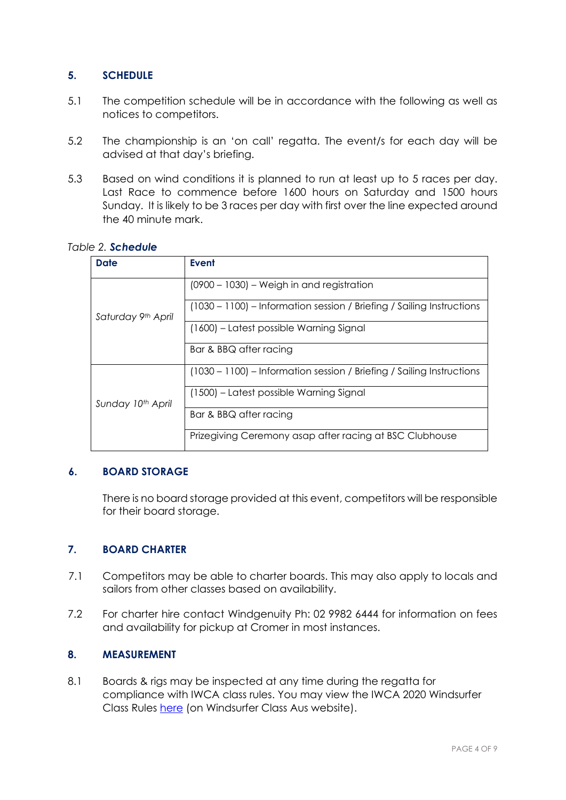#### **5. SCHEDULE**

- 5.1 The competition schedule will be in accordance with the following as well as notices to competitors.
- 5.2 The championship is an 'on call' regatta. The event/s for each day will be advised at that day's briefing.
- 5.3 Based on wind conditions it is planned to run at least up to 5 races per day. Last Race to commence before 1600 hours on Saturday and 1500 hours Sunday. It is likely to be 3 races per day with first over the line expected around the 40 minute mark.

| <b>Date</b>        | <b>Event</b>                                                          |
|--------------------|-----------------------------------------------------------------------|
| Saturday 9th April | $(0900 - 1030)$ – Weigh in and registration                           |
|                    | (1030 – 1100) – Information session / Briefing / Sailing Instructions |
|                    | (1600) – Latest possible Warning Signal                               |
|                    | Bar & BBQ after racing                                                |
| Sunday 10th April  | (1030 – 1100) – Information session / Briefing / Sailing Instructions |
|                    | (1500) – Latest possible Warning Signal                               |
|                    | Bar & BBQ after racing                                                |
|                    | Prizegiving Ceremony asap after racing at BSC Clubhouse               |

#### *Table 2. Schedule*

#### **6. BOARD STORAGE**

There is no board storage provided at this event, competitors will be responsible for their board storage.

#### **7. BOARD CHARTER**

- 7.1 Competitors may be able to charter boards. This may also apply to locals and sailors from other classes based on availability.
- 7.2 For charter hire contact Windgenuity Ph: 02 9982 6444 for information on fees and availability for pickup at Cromer in most instances.

#### **8. MEASUREMENT**

8.1 Boards & rigs may be inspected at any time during the regatta for compliance with IWCA class rules. You may view the IWCA 2020 Windsurfer Class Rules here (on Windsurfer Class Aus website).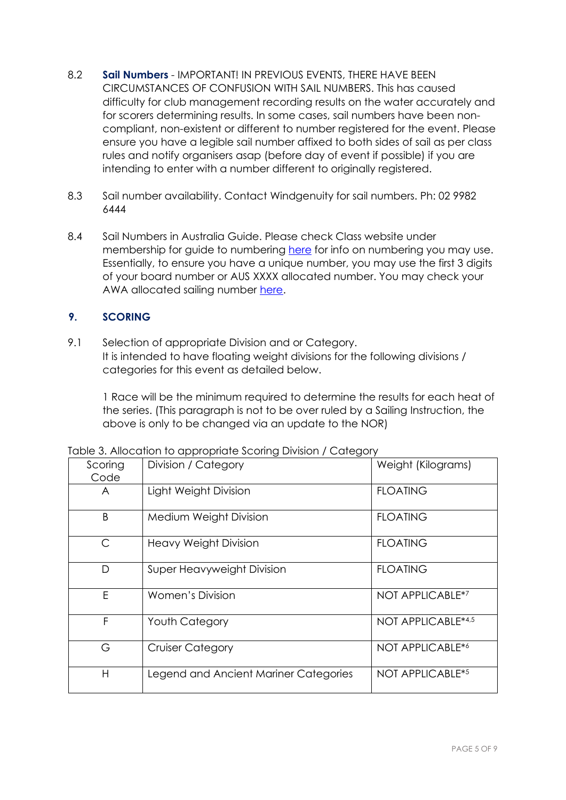- 8.2 **Sail Numbers** IMPORTANT! IN PREVIOUS EVENTS, THERE HAVE BEEN CIRCUMSTANCES OF CONFUSION WITH SAIL NUMBERS. This has caused difficulty for club management recording results on the water accurately and for scorers determining results. In some cases, sail numbers have been noncompliant, non-existent or different to number registered for the event. Please ensure you have a legible sail number affixed to both sides of sail as per class rules and notify organisers asap (before day of event if possible) if you are intending to enter with a number different to originally registered.
- 8.3 Sail number availability. Contact Windgenuity for sail numbers. Ph: 02 9982 6444
- 8.4 Sail Numbers in Australia Guide. Please check Class website under membership for guide to numbering here for info on numbering you may use. Essentially, to ensure you have a unique number, you may use the first 3 digits of your board number or AUS XXXX allocated number. You may check your AWA allocated sailing number here.

#### **9. SCORING**

9.1 Selection of appropriate Division and or Category. It is intended to have floating weight divisions for the following divisions / categories for this event as detailed below.

1 Race will be the minimum required to determine the results for each heat of the series. (This paragraph is not to be over ruled by a Sailing Instruction, the above is only to be changed via an update to the NOR)

| Scoring<br>Code | Division / Category                   | Weight (Kilograms) |
|-----------------|---------------------------------------|--------------------|
| A               | Light Weight Division                 | <b>FLOATING</b>    |
| B               | Medium Weight Division                | <b>FLOATING</b>    |
| $\mathsf{C}$    | <b>Heavy Weight Division</b>          | <b>FLOATING</b>    |
| D               | Super Heavyweight Division            | <b>FLOATING</b>    |
| E               | <b>Women's Division</b>               | NOT APPLICABLE*7   |
| F               | Youth Category                        | NOT APPLICABLE*4,5 |
| G               | <b>Cruiser Category</b>               | NOT APPLICABLE*6   |
| H               | Legend and Ancient Mariner Categories | NOT APPLICABLE*5   |

Table 3. Allocation to appropriate Scoring Division / Category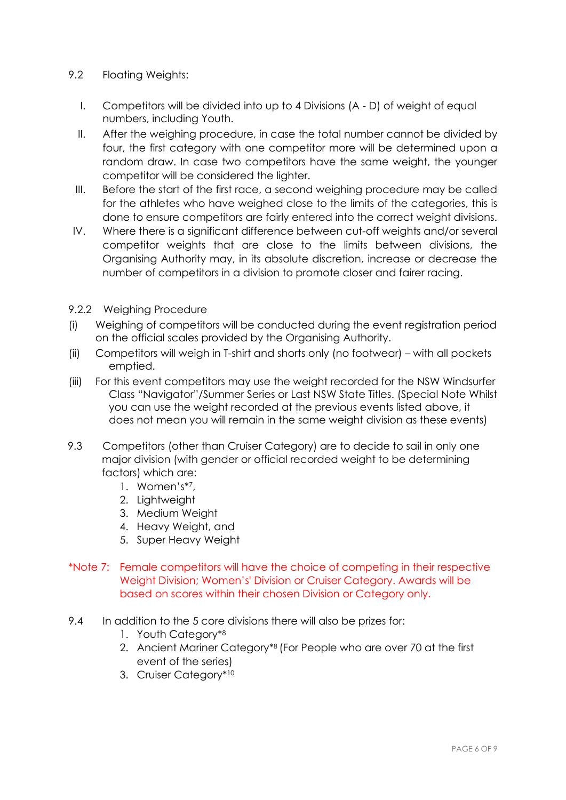#### 9.2 Floating Weights:

- I. Competitors will be divided into up to 4 Divisions (A D) of weight of equal numbers, including Youth.
- II. After the weighing procedure, in case the total number cannot be divided by four, the first category with one competitor more will be determined upon a random draw. In case two competitors have the same weight, the younger competitor will be considered the lighter.
- III. Before the start of the first race, a second weighing procedure may be called for the athletes who have weighed close to the limits of the categories, this is done to ensure competitors are fairly entered into the correct weight divisions.
- IV. Where there is a significant difference between cut-off weights and/or several competitor weights that are close to the limits between divisions, the Organising Authority may, in its absolute discretion, increase or decrease the number of competitors in a division to promote closer and fairer racing.
- 9.2.2 Weighing Procedure
- (i) Weighing of competitors will be conducted during the event registration period on the official scales provided by the Organising Authority.
- (ii) Competitors will weigh in T-shirt and shorts only (no footwear) with all pockets emptied.
- (iii) For this event competitors may use the weight recorded for the NSW Windsurfer Class "Navigator"/Summer Series or Last NSW State Titles. (Special Note Whilst you can use the weight recorded at the previous events listed above, it does not mean you will remain in the same weight division as these events)
- 9.3 Competitors (other than Cruiser Category) are to decide to sail in only one major division (with gender or official recorded weight to be determining factors) which are:
	- 1. Women's\*<sup>7</sup> ,
	- 2. Lightweight
	- 3. Medium Weight
	- 4. Heavy Weight, and
	- 5. Super Heavy Weight
- \*Note 7: Female competitors will have the choice of competing in their respective Weight Division; Women's' Division or Cruiser Category. Awards will be based on scores within their chosen Division or Category only.
- 9.4 In addition to the 5 core divisions there will also be prizes for:
	- 1. Youth Category\*<sup>8</sup>
	- 2. Ancient Mariner Category\*8 (For People who are over 70 at the first event of the series)
	- 3. Cruiser Category\*<sup>10</sup>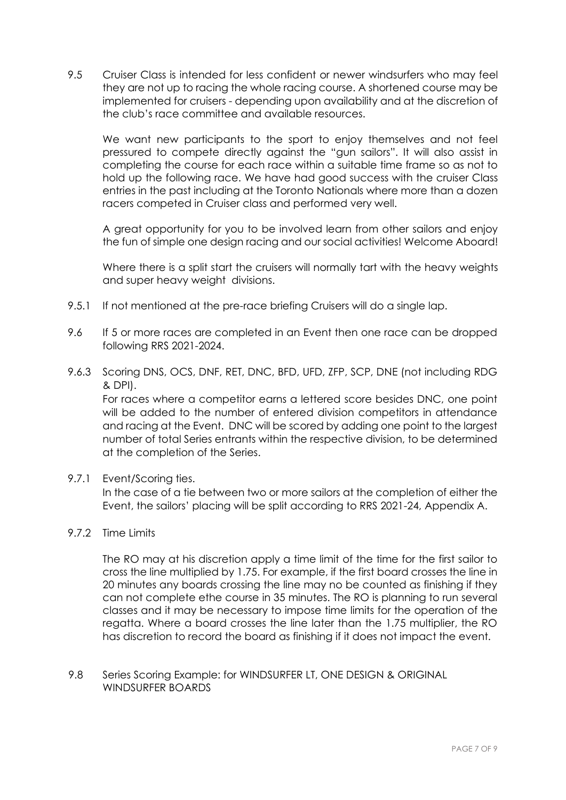9.5 Cruiser Class is intended for less confident or newer windsurfers who may feel they are not up to racing the whole racing course. A shortened course may be implemented for cruisers - depending upon availability and at the discretion of the club's race committee and available resources.

We want new participants to the sport to enjoy themselves and not feel pressured to compete directly against the "gun sailors". It will also assist in completing the course for each race within a suitable time frame so as not to hold up the following race. We have had good success with the cruiser Class entries in the past including at the Toronto Nationals where more than a dozen racers competed in Cruiser class and performed very well.

A great opportunity for you to be involved learn from other sailors and enjoy the fun of simple one design racing and our social activities! Welcome Aboard!

Where there is a split start the cruisers will normally tart with the heavy weights and super heavy weight divisions.

- 9.5.1 If not mentioned at the pre-race briefing Cruisers will do a single lap.
- 9.6 If 5 or more races are completed in an Event then one race can be dropped following RRS 2021-2024.
- 9.6.3 Scoring DNS, OCS, DNF, RET, DNC, BFD, UFD, ZFP, SCP, DNE (not including RDG & DPI).

For races where a competitor earns a lettered score besides DNC, one point will be added to the number of entered division competitors in attendance and racing at the Event. DNC will be scored by adding one point to the largest number of total Series entrants within the respective division, to be determined at the completion of the Series.

9.7.1 Event/Scoring ties.

In the case of a tie between two or more sailors at the completion of either the Event, the sailors' placing will be split according to RRS 2021-24, Appendix A.

9.7.2 Time Limits

The RO may at his discretion apply a time limit of the time for the first sailor to cross the line multiplied by 1.75. For example, if the first board crosses the line in 20 minutes any boards crossing the line may no be counted as finishing if they can not complete ethe course in 35 minutes. The RO is planning to run several classes and it may be necessary to impose time limits for the operation of the regatta. Where a board crosses the line later than the 1.75 multiplier, the RO has discretion to record the board as finishing if it does not impact the event.

#### 9.8 Series Scoring Example: for WINDSURFER LT, ONE DESIGN & ORIGINAL WINDSURFER BOARDS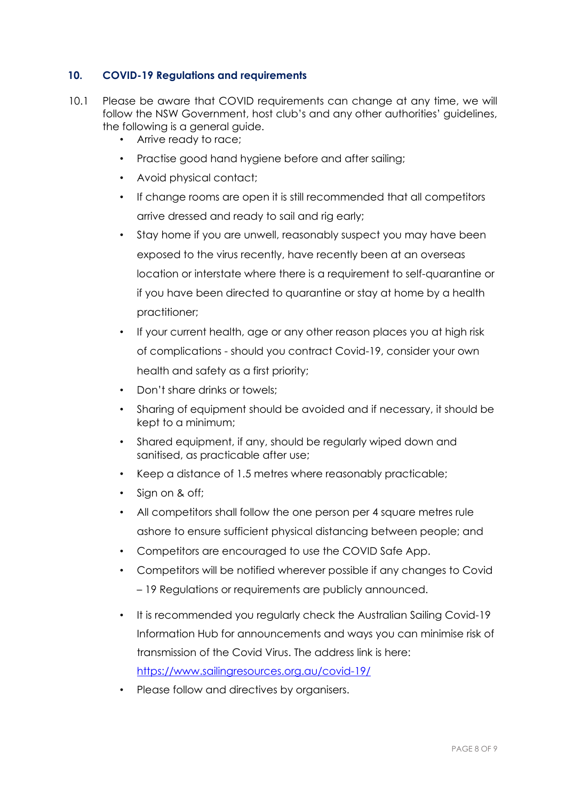#### **10. COVID-19 Regulations and requirements**

- 10.1 Please be aware that COVID requirements can change at any time, we will follow the NSW Government, host club's and any other authorities' guidelines, the following is a general guide.
	- Arrive ready to race;
	- Practise good hand hygiene before and after sailing;
	- Avoid physical contact;
	- If change rooms are open it is still recommended that all competitors arrive dressed and ready to sail and rig early;
	- Stay home if you are unwell, reasonably suspect you may have been exposed to the virus recently, have recently been at an overseas location or interstate where there is a requirement to self-quarantine or if you have been directed to quarantine or stay at home by a health practitioner;
	- If your current health, age or any other reason places you at high risk of complications - should you contract Covid-19, consider your own health and safety as a first priority;
	- Don't share drinks or towels;
	- Sharing of equipment should be avoided and if necessary, it should be kept to a minimum;
	- Shared equipment, if any, should be regularly wiped down and sanitised, as practicable after use;
	- Keep a distance of 1.5 metres where reasonably practicable;
	- Sign on & off;
	- All competitors shall follow the one person per 4 square metres rule ashore to ensure sufficient physical distancing between people; and
	- Competitors are encouraged to use the COVID Safe App.
	- Competitors will be notified wherever possible if any changes to Covid – 19 Regulations or requirements are publicly announced.
	- It is recommended you regularly check the Australian Sailing Covid-19 Information Hub for announcements and ways you can minimise risk of transmission of the Covid Virus. The address link is here: https://www.sailingresources.org.au/covid-19/
	- Please follow and directives by organisers.